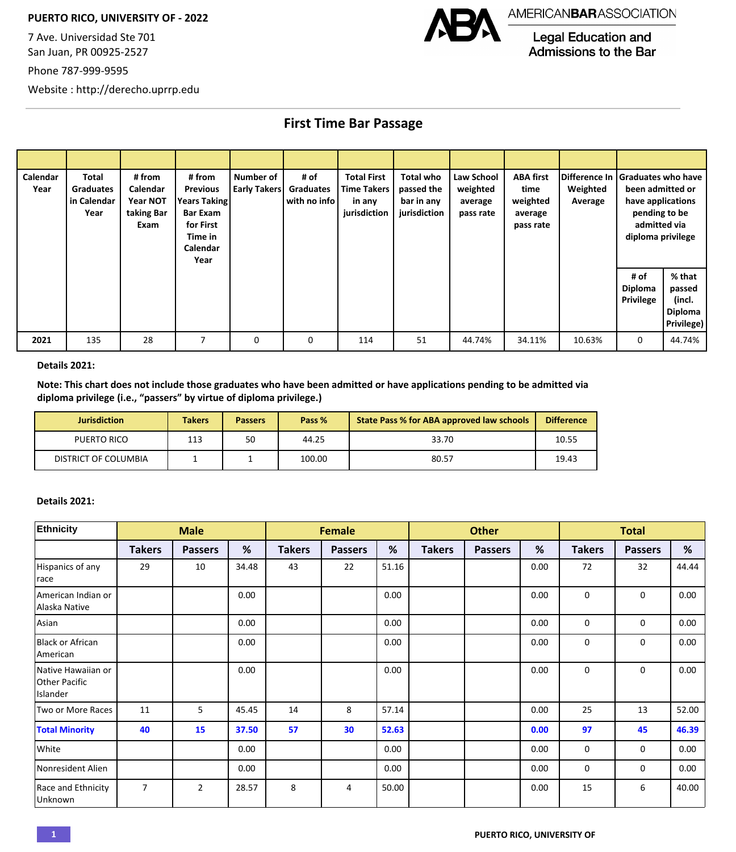## **PUERTO RICO, UNIVERSITY OF - 2022**

7 Ave. Universidad Ste 701 San Juan, PR 00925-2527

Phone 787-999-9595



**Legal Education and** Admissions to the Bar

Website : http://derecho.uprrp.edu

**First Time Bar Passage**

| Calendar<br>Year | Total<br><b>Graduates</b><br>in Calendar<br>Year | # from<br>Calendar<br>Year NOT<br>taking Bar<br>Exam | # from<br><b>Previous</b><br><b>Years Taking</b><br><b>Bar Exam</b><br>for First<br>Time in<br>Calendar<br>Year | Number of<br>Early Takers | # of<br>Graduates<br>l with no info l | <b>Total First</b><br><b>Time Takers</b><br>in any<br>jurisdiction | <b>Total who</b><br>passed the<br>bar in any<br>jurisdiction | Law School<br>weighted<br>average<br>pass rate | <b>ABA first</b><br>time<br>weighted<br>average<br>pass rate | Weighted<br>Average | Difference In Graduates who have<br>been admitted or<br>have applications<br>pending to be<br>admitted via<br>diploma privilege |                                                     |
|------------------|--------------------------------------------------|------------------------------------------------------|-----------------------------------------------------------------------------------------------------------------|---------------------------|---------------------------------------|--------------------------------------------------------------------|--------------------------------------------------------------|------------------------------------------------|--------------------------------------------------------------|---------------------|---------------------------------------------------------------------------------------------------------------------------------|-----------------------------------------------------|
|                  |                                                  |                                                      |                                                                                                                 |                           |                                       |                                                                    |                                                              |                                                |                                                              |                     | # of<br>Diploma<br><b>Privilege</b>                                                                                             | % that<br>passed<br>(incl.<br>Diploma<br>Privilege) |
| 2021             | 135                                              | 28                                                   | 7                                                                                                               | 0                         | 0                                     | 114                                                                | 51                                                           | 44.74%                                         | 34.11%                                                       | 10.63%              | $\mathbf 0$                                                                                                                     | 44.74%                                              |

## **Details 2021:**

**Note: This chart does not include those graduates who have been admitted or have applications pending to be admitted via diploma privilege (i.e., ͞passers͟by virtue of diploma privilege.)** 

| <b>Jurisdiction</b>  | <b>Takers</b> | <b>Passers</b> | Pass % | <b>State Pass % for ABA approved law schools</b> | <b>Difference</b> |
|----------------------|---------------|----------------|--------|--------------------------------------------------|-------------------|
| PUERTO RICO          | 113           | 50             | 44.25  | 33.70                                            | 10.55             |
| DISTRICT OF COLUMBIA |               |                | 100.00 | 80.57                                            | 19.43             |

## **Details 2021:**

| Ethnicity                                              |                | <b>Male</b>    |       | <b>Female</b> |                |       | <b>Other</b>  |                |      | <b>Total</b>  |                |       |
|--------------------------------------------------------|----------------|----------------|-------|---------------|----------------|-------|---------------|----------------|------|---------------|----------------|-------|
|                                                        | <b>Takers</b>  | <b>Passers</b> | %     | <b>Takers</b> | <b>Passers</b> | %     | <b>Takers</b> | <b>Passers</b> | %    | <b>Takers</b> | <b>Passers</b> | $\%$  |
| Hispanics of any<br>race                               | 29             | 10             | 34.48 | 43            | 22             | 51.16 |               |                | 0.00 | 72            | 32             | 44.44 |
| American Indian or<br>Alaska Native                    |                |                | 0.00  |               |                | 0.00  |               |                | 0.00 | $\mathbf 0$   | $\mathbf 0$    | 0.00  |
| Asian                                                  |                |                | 0.00  |               |                | 0.00  |               |                | 0.00 | $\mathbf 0$   | 0              | 0.00  |
| Black or African<br>American                           |                |                | 0.00  |               |                | 0.00  |               |                | 0.00 | $\mathbf 0$   | $\mathbf 0$    | 0.00  |
| Native Hawaiian or<br><b>Other Pacific</b><br>Islander |                |                | 0.00  |               |                | 0.00  |               |                | 0.00 | $\mathbf 0$   | $\mathbf 0$    | 0.00  |
| Two or More Races                                      | 11             | 5              | 45.45 | 14            | 8              | 57.14 |               |                | 0.00 | 25            | 13             | 52.00 |
| <b>Total Minority</b>                                  | 40             | 15             | 37.50 | 57            | 30             | 52.63 |               |                | 0.00 | 97            | 45             | 46.39 |
| White                                                  |                |                | 0.00  |               |                | 0.00  |               |                | 0.00 | 0             | 0              | 0.00  |
| Nonresident Alien                                      |                |                | 0.00  |               |                | 0.00  |               |                | 0.00 | $\mathbf 0$   | 0              | 0.00  |
| Race and Ethnicity<br>Unknown                          | $\overline{7}$ | $\overline{2}$ | 28.57 | 8             | 4              | 50.00 |               |                | 0.00 | 15            | 6              | 40.00 |